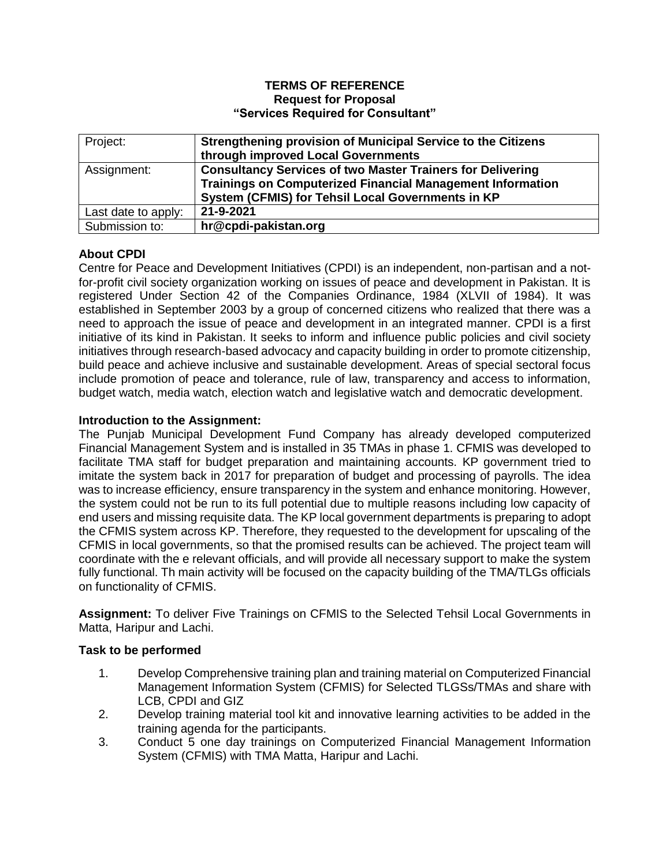#### **TERMS OF REFERENCE Request for Proposal "Services Required for Consultant"**

| Project:            | Strengthening provision of Municipal Service to the Citizens      |
|---------------------|-------------------------------------------------------------------|
|                     | through improved Local Governments                                |
| Assignment:         | <b>Consultancy Services of two Master Trainers for Delivering</b> |
|                     | <b>Trainings on Computerized Financial Management Information</b> |
|                     | System (CFMIS) for Tehsil Local Governments in KP                 |
| Last date to apply: | 21-9-2021                                                         |
| Submission to:      | hr@cpdi-pakistan.org                                              |

# **About CPDI**

Centre for Peace and Development Initiatives (CPDI) is an independent, non-partisan and a notfor-profit civil society organization working on issues of peace and development in Pakistan. It is registered Under Section 42 of the Companies Ordinance, 1984 (XLVII of 1984). It was established in September 2003 by a group of concerned citizens who realized that there was a need to approach the issue of peace and development in an integrated manner. CPDI is a first initiative of its kind in Pakistan. It seeks to inform and influence public policies and civil society initiatives through research-based advocacy and capacity building in order to promote citizenship, build peace and achieve inclusive and sustainable development. Areas of special sectoral focus include promotion of peace and tolerance, rule of law, transparency and access to information, budget watch, media watch, election watch and legislative watch and democratic development.

## **Introduction to the Assignment:**

The Punjab Municipal Development Fund Company has already developed computerized Financial Management System and is installed in 35 TMAs in phase 1. CFMIS was developed to facilitate TMA staff for budget preparation and maintaining accounts. KP government tried to imitate the system back in 2017 for preparation of budget and processing of payrolls. The idea was to increase efficiency, ensure transparency in the system and enhance monitoring. However, the system could not be run to its full potential due to multiple reasons including low capacity of end users and missing requisite data. The KP local government departments is preparing to adopt the CFMIS system across KP. Therefore, they requested to the development for upscaling of the CFMIS in local governments, so that the promised results can be achieved. The project team will coordinate with the e relevant officials, and will provide all necessary support to make the system fully functional. Th main activity will be focused on the capacity building of the TMA/TLGs officials on functionality of CFMIS.

**Assignment:** To deliver Five Trainings on CFMIS to the Selected Tehsil Local Governments in Matta, Haripur and Lachi.

## **Task to be performed**

- 1. Develop Comprehensive training plan and training material on Computerized Financial Management Information System (CFMIS) for Selected TLGSs/TMAs and share with LCB, CPDI and GIZ
- 2. Develop training material tool kit and innovative learning activities to be added in the training agenda for the participants.
- 3. Conduct 5 one day trainings on Computerized Financial Management Information System (CFMIS) with TMA Matta, Haripur and Lachi.